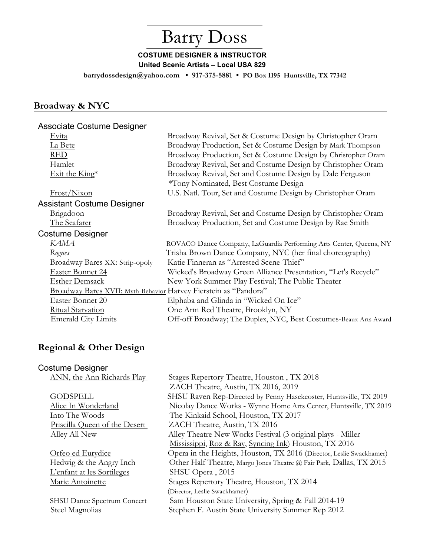# Barry Doss

### **COSTUME DESIGNER & INSTRUCTOR United Scenic Artists – Local USA 829**

 **barrydossdesign@yahoo.com • 917-375-5881 • PO Box 1195 Huntsville, TX 77342**

# **Broadway & NYC**

#### Associate Costume Designer

| Evita                                                            | Broadway Revival, Set & Costume Design by Christopher Oram         |
|------------------------------------------------------------------|--------------------------------------------------------------------|
| La Bete                                                          | Broadway Production, Set & Costume Design by Mark Thompson         |
| <b>RED</b>                                                       | Broadway Production, Set & Costume Design by Christopher Oram      |
| Hamlet                                                           | Broadway Revival, Set and Costume Design by Christopher Oram       |
| Exit the King*                                                   | Broadway Revival, Set and Costume Design by Dale Ferguson          |
|                                                                  | *Tony Nominated, Best Costume Design                               |
| Frost/Nixon                                                      | U.S. Natl. Tour, Set and Costume Design by Christopher Oram        |
| <b>Assistant Costume Designer</b>                                |                                                                    |
| Brigadoon                                                        | Broadway Revival, Set and Costume Design by Christopher Oram       |
| The Seafarer                                                     | Broadway Production, Set and Costume Design by Rae Smith           |
| <b>Costume Designer</b>                                          |                                                                    |
| <b>KAMA</b>                                                      | ROVACO Dance Company, LaGuardia Performing Arts Center, Queens, NY |
| Rogues                                                           | Trisha Brown Dance Company, NYC (her final choreography)           |
| Broadway Bares XX: Strip-opoly                                   | Katie Finneran as "Arrested Scene-Thief"                           |
| Easter Bonnet 24                                                 | Wicked's Broadway Green Alliance Presentation, "Let's Recycle"     |
| <b>Esther Demsack</b>                                            | New York Summer Play Festival; The Public Theater                  |
| Broadway Bares XVII: Myth-Behavior Harvey Fierstein as "Pandora" |                                                                    |
| Easter Bonnet 20                                                 | Elphaba and Glinda in "Wicked On Ice"                              |
| Ritual Starvation                                                | One Arm Red Theatre, Brooklyn, NY                                  |
| <b>Emerald City Limits</b>                                       | Off-off Broadway; The Duplex, NYC, Best Costumes-Beaux Arts Award  |

## **Regional & Other Design**

### Costume Designer

L'enfant at les Sortileges SHSU Opera, 2015

ANN, the Ann Richards Play Stages Repertory Theatre, Houston, TX 2018 ZACH Theatre, Austin, TX 2016, 2019 GODSPELL SHSU Raven Rep-Directed by Penny Hasekeoster, Huntsville, TX 2019 Alice In Wonderland Nicolay Dance Works - Wynne Home Arts Center, Huntsville, TX 2019 Into The Woods The Kinkaid School, Houston, TX 2017 Priscilla Queen of the Desert ZACH Theatre, Austin, TX 2016 Alley All New Alley Theatre New Works Festival (3 original plays - Miller Mississippi, Roz & Ray, Syncing Ink) Houston, TX 2016 Orfeo ed Eurydice Opera in the Heights, Houston, TX 2016 (Director, Leslie Swackhamer)<br>Hedwig & the Angry Inch Other Half Theatre, Margo Jones Theatre @ Fair Park, Dallas, TX 2015 Other Half Theatre, Margo Jones Theatre @ Fair Park, Dallas, TX 2015 Marie Antoinette Stages Repertory Theatre, Houston, TX 2014 (Director, Leslie Swackhamer) SHSU Dance Spectrum Concert Sam Houston State University, Spring & Fall 2014-19 Steel Magnolias Stephen F. Austin State University Summer Rep 2012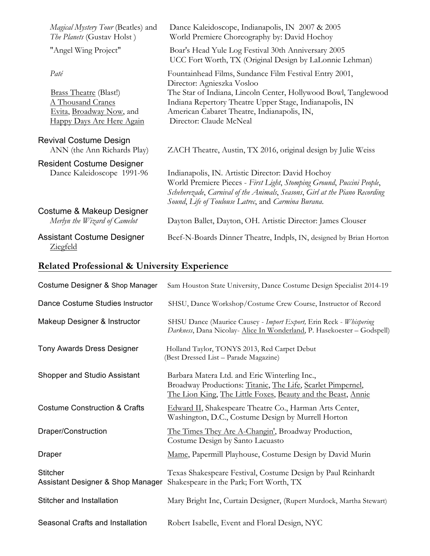| Magical Mystery Tour (Beatles) and<br>The Planets (Gustav Holst)           | Dance Kaleidoscope, Indianapolis, IN 2007 & 2005<br>World Premiere Choreography by: David Hochoy                                                                                                                                                                 |
|----------------------------------------------------------------------------|------------------------------------------------------------------------------------------------------------------------------------------------------------------------------------------------------------------------------------------------------------------|
| "Angel Wing Project"                                                       | Boar's Head Yule Log Festival 30th Anniversary 2005<br>UCC Fort Worth, TX (Original Design by LaLonnie Lehman)                                                                                                                                                   |
| Paté<br><b>Brass Theatre (Blast!)</b>                                      | Fountainhead Films, Sundance Film Festival Entry 2001,<br>Director: Agnieszka Vosloo<br>The Star of Indiana, Lincoln Center, Hollywood Bowl, Tanglewood                                                                                                          |
| A Thousand Cranes<br>Evita, Broadway Now, and<br>Happy Days Are Here Again | Indiana Repertory Theatre Upper Stage, Indianapolis, IN<br>American Cabaret Theatre, Indianapolis, IN,<br>Director: Claude McNeal                                                                                                                                |
| Revival Costume Design<br>ANN (the Ann Richards Play)                      | ZACH Theatre, Austin, TX 2016, original design by Julie Weiss                                                                                                                                                                                                    |
| <b>Resident Costume Designer</b><br>Dance Kaleidoscope 1991-96             | Indianapolis, IN. Artistic Director: David Hochoy<br>World Premiere Pieces - First Light, Stomping Ground, Puccini People,<br>Scheherezade, Carnival of the Animals, Seasons, Girl at the Piano Recording<br>Sound, Life of Toulouse Latrec, and Carmina Burana. |
| Costume & Makeup Designer<br>Merlyn the Wizard of Camelot                  | Dayton Ballet, Dayton, OH. Artistic Director: James Clouser                                                                                                                                                                                                      |
| Assistant Costume Designer<br>Ziegfeld                                     | Beef-N-Boards Dinner Theatre, Indpls, IN, designed by Brian Horton                                                                                                                                                                                               |

# **Related Professional & University Experience**

| Costume Designer & Shop Manager                      | Sam Houston State University, Dance Costume Design Specialist 2014-19                                                                                                        |
|------------------------------------------------------|------------------------------------------------------------------------------------------------------------------------------------------------------------------------------|
| Dance Costume Studies Instructor                     | SHSU, Dance Workshop/Costume Crew Course, Instructor of Record                                                                                                               |
| Makeup Designer & Instructor                         | SHSU Dance (Maurice Causey - Import Export, Erin Reck - Whispering<br>Darkness, Dana Nicolay- Alice In Wonderland, P. Hasekoester - Godspell)                                |
| <b>Tony Awards Dress Designer</b>                    | Holland Taylor, TONYS 2013, Red Carpet Debut<br>(Best Dressed List - Parade Magazine)                                                                                        |
| Shopper and Studio Assistant                         | Barbara Matera Ltd. and Eric Winterling Inc.,<br>Broadway Productions: Titanic, The Life, Scarlet Pimpernel,<br>The Lion King, The Little Foxes, Beauty and the Beast, Annie |
| <b>Costume Construction &amp; Crafts</b>             | Edward II, Shakespeare Theatre Co., Harman Arts Center,<br>Washington, D.C., Costume Design by Murrell Horton                                                                |
| Draper/Construction                                  | The Times They Are A-Changin', Broadway Production,<br>Costume Design by Santo Lacuasto                                                                                      |
| Draper                                               | Mame, Papermill Playhouse, Costume Design by David Murin                                                                                                                     |
| <b>Stitcher</b><br>Assistant Designer & Shop Manager | Texas Shakespeare Festival, Costume Design by Paul Reinhardt<br>Shakespeare in the Park; Fort Worth, TX                                                                      |
| Stitcher and Installation                            | Mary Bright Inc, Curtain Designer, (Rupert Murdock, Martha Stewart)                                                                                                          |
| Seasonal Crafts and Installation                     | Robert Isabelle, Event and Floral Design, NYC                                                                                                                                |